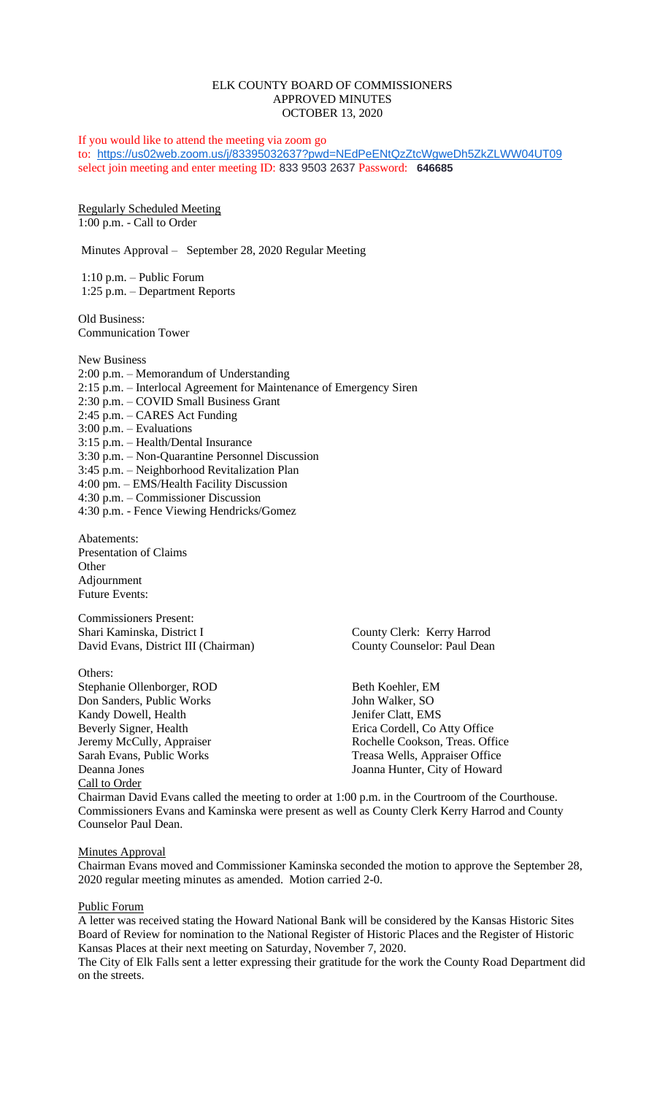## ELK COUNTY BOARD OF COMMISSIONERS APPROVED MINUTES OCTOBER 13, 2020

If you would like to attend the meeting via zoom go to: <https://us02web.zoom.us/j/83395032637?pwd=NEdPeENtQzZtcWgweDh5ZkZLWW04UT09> select join meeting and enter meeting ID: 833 9503 2637 Password: **646685**

Regularly Scheduled Meeting 1:00 p.m. - Call to Order

Minutes Approval – September 28, 2020 Regular Meeting

1:10 p.m. – Public Forum 1:25 p.m. – Department Reports

Old Business: Communication Tower

New Business 2:00 p.m. – Memorandum of Understanding 2:15 p.m. – Interlocal Agreement for Maintenance of Emergency Siren 2:30 p.m. – COVID Small Business Grant 2:45 p.m. – CARES Act Funding  $3:00$  p.m. – Evaluations 3:15 p.m. – Health/Dental Insurance 3:30 p.m. – Non-Quarantine Personnel Discussion 3:45 p.m. – Neighborhood Revitalization Plan 4:00 pm. – EMS/Health Facility Discussion 4:30 p.m. – Commissioner Discussion 4:30 p.m. - Fence Viewing Hendricks/Gomez

Abatements: Presentation of Claims **Other** Adjournment Future Events:

Commissioners Present: Shari Kaminska, District I County Clerk: Kerry Harrod David Evans, District III (Chairman) County Counselor: Paul Dean

Others: Stephanie Ollenborger, ROD Beth Koehler, EM Don Sanders, Public Works John Walker, SO Kandy Dowell, Health Jenifer Clatt, EMS Deanna Jones Joanna Hunter, City of Howard Call to Order

Beverly Signer, Health Erica Cordell, Co Atty Office Jeremy McCully, Appraiser Rochelle Cookson, Treas. Office Sarah Evans, Public Works Treasa Wells, Appraiser Office

Chairman David Evans called the meeting to order at 1:00 p.m. in the Courtroom of the Courthouse. Commissioners Evans and Kaminska were present as well as County Clerk Kerry Harrod and County Counselor Paul Dean.

#### **Minutes Approval**

Chairman Evans moved and Commissioner Kaminska seconded the motion to approve the September 28, 2020 regular meeting minutes as amended. Motion carried 2-0.

#### Public Forum

A letter was received stating the Howard National Bank will be considered by the Kansas Historic Sites Board of Review for nomination to the National Register of Historic Places and the Register of Historic Kansas Places at their next meeting on Saturday, November 7, 2020.

The City of Elk Falls sent a letter expressing their gratitude for the work the County Road Department did on the streets.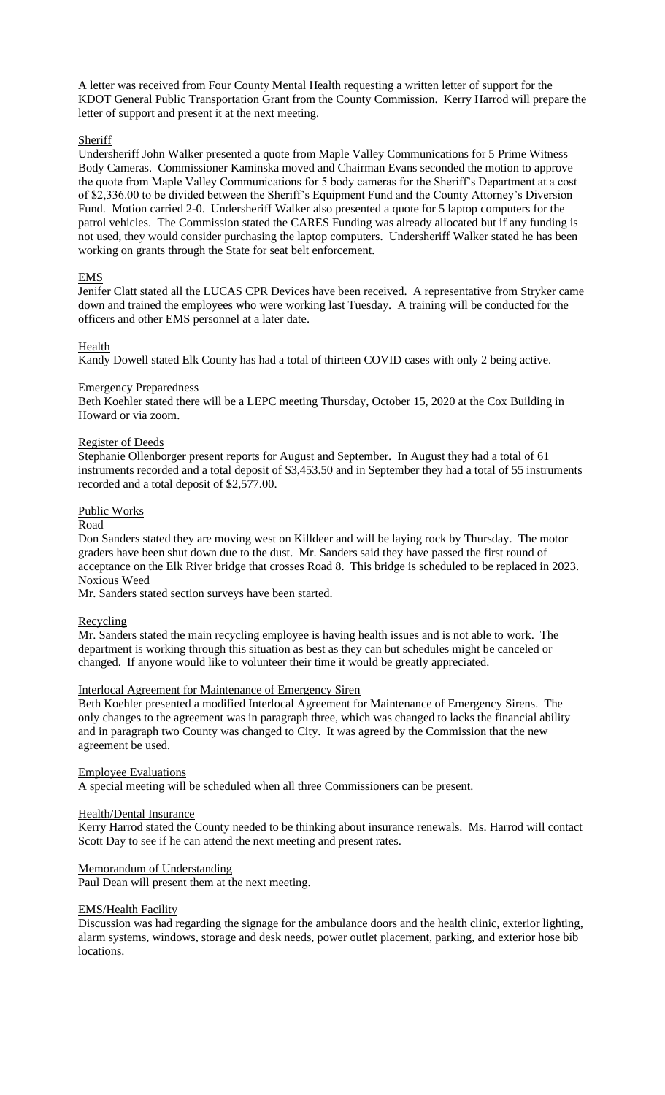A letter was received from Four County Mental Health requesting a written letter of support for the KDOT General Public Transportation Grant from the County Commission. Kerry Harrod will prepare the letter of support and present it at the next meeting.

# **Sheriff**

Undersheriff John Walker presented a quote from Maple Valley Communications for 5 Prime Witness Body Cameras. Commissioner Kaminska moved and Chairman Evans seconded the motion to approve the quote from Maple Valley Communications for 5 body cameras for the Sheriff's Department at a cost of \$2,336.00 to be divided between the Sheriff's Equipment Fund and the County Attorney's Diversion Fund. Motion carried 2-0. Undersheriff Walker also presented a quote for 5 laptop computers for the patrol vehicles. The Commission stated the CARES Funding was already allocated but if any funding is not used, they would consider purchasing the laptop computers. Undersheriff Walker stated he has been working on grants through the State for seat belt enforcement.

# EMS

Jenifer Clatt stated all the LUCAS CPR Devices have been received. A representative from Stryker came down and trained the employees who were working last Tuesday. A training will be conducted for the officers and other EMS personnel at a later date.

# Health

Kandy Dowell stated Elk County has had a total of thirteen COVID cases with only 2 being active.

## Emergency Preparedness

Beth Koehler stated there will be a LEPC meeting Thursday, October 15, 2020 at the Cox Building in Howard or via zoom.

#### Register of Deeds

Stephanie Ollenborger present reports for August and September. In August they had a total of 61 instruments recorded and a total deposit of \$3,453.50 and in September they had a total of 55 instruments recorded and a total deposit of \$2,577.00.

## Public Works

#### Road

Don Sanders stated they are moving west on Killdeer and will be laying rock by Thursday. The motor graders have been shut down due to the dust. Mr. Sanders said they have passed the first round of acceptance on the Elk River bridge that crosses Road 8. This bridge is scheduled to be replaced in 2023. Noxious Weed

Mr. Sanders stated section surveys have been started.

## Recycling

Mr. Sanders stated the main recycling employee is having health issues and is not able to work. The department is working through this situation as best as they can but schedules might be canceled or changed. If anyone would like to volunteer their time it would be greatly appreciated.

## Interlocal Agreement for Maintenance of Emergency Siren

Beth Koehler presented a modified Interlocal Agreement for Maintenance of Emergency Sirens. The only changes to the agreement was in paragraph three, which was changed to lacks the financial ability and in paragraph two County was changed to City. It was agreed by the Commission that the new agreement be used.

#### Employee Evaluations

A special meeting will be scheduled when all three Commissioners can be present.

## Health/Dental Insurance

Kerry Harrod stated the County needed to be thinking about insurance renewals. Ms. Harrod will contact Scott Day to see if he can attend the next meeting and present rates.

## Memorandum of Understanding

Paul Dean will present them at the next meeting.

## **EMS/Health Facility**

Discussion was had regarding the signage for the ambulance doors and the health clinic, exterior lighting, alarm systems, windows, storage and desk needs, power outlet placement, parking, and exterior hose bib locations.